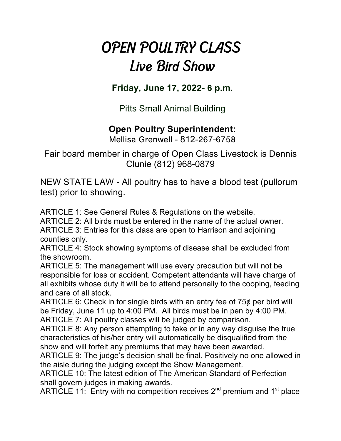## *OPEN POULTRY CLASS Live Bird Show*

**Friday, June 1**7**, 202**2**-** 6 **p.m.** 

Pitts Small Animal Building

## **Open Poultry Superintendent:**

Mellisa Grenwell - 812-267-6758

Fair board member in charge of Open Class Livestock is Dennis Clunie (812) 968-0879

NEW STATE LAW - All poultry has to have a blood test (pullorum test) prior to showing.

ARTICLE 1: See General Rules & Regulations on the website.

ARTICLE 2: All birds must be entered in the name of the actual owner.

ARTICLE 3: Entries for this class are open to Harrison and adjoining counties only.

ARTICLE 4: Stock showing symptoms of disease shall be excluded from the showroom.

ARTICLE 5: The management will use every precaution but will not be responsible for loss or accident. Competent attendants will have charge of all exhibits whose duty it will be to attend personally to the cooping, feeding and care of all stock.

ARTICLE 6: Check in for single birds with an entry fee of 75¢ per bird will be Friday, June 11 up to 4:00 PM. All birds must be in pen by 4:00 PM. ARTICLE 7: All poultry classes will be judged by comparison.

ARTICLE 8: Any person attempting to fake or in any way disguise the true characteristics of his/her entry will automatically be disqualified from the show and will forfeit any premiums that may have been awarded.

ARTICLE 9: The judge's decision shall be final. Positively no one allowed in the aisle during the judging except the Show Management.

ARTICLE 10: The latest edition of The American Standard of Perfection shall govern judges in making awards.

ARTICLE 11: Entry with no competition receives  $2^{nd}$  premium and 1<sup>st</sup> place